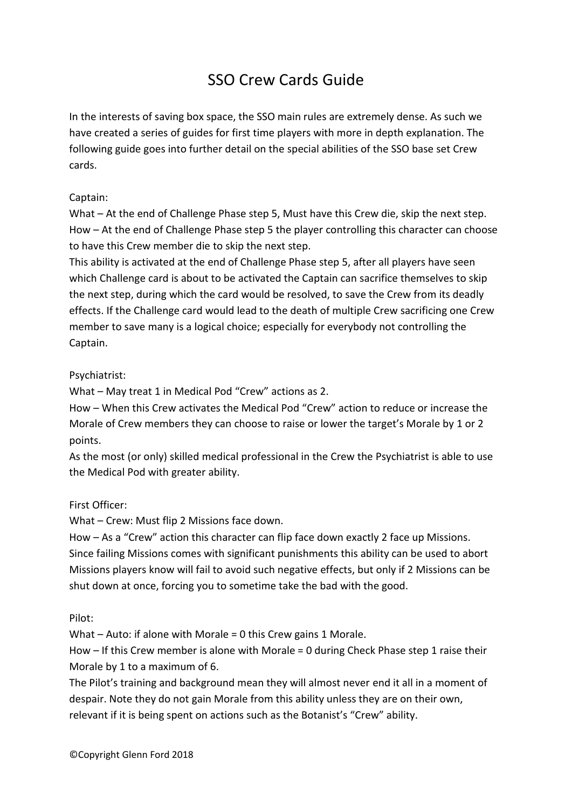# SSO Crew Cards Guide

In the interests of saving box space, the SSO main rules are extremely dense. As such we have created a series of guides for first time players with more in depth explanation. The following guide goes into further detail on the special abilities of the SSO base set Crew cards.

# Captain:

What – At the end of Challenge Phase step 5, Must have this Crew die, skip the next step. How – At the end of Challenge Phase step 5 the player controlling this character can choose to have this Crew member die to skip the next step.

This ability is activated at the end of Challenge Phase step 5, after all players have seen which Challenge card is about to be activated the Captain can sacrifice themselves to skip the next step, during which the card would be resolved, to save the Crew from its deadly effects. If the Challenge card would lead to the death of multiple Crew sacrificing one Crew member to save many is a logical choice; especially for everybody not controlling the Captain.

# Psychiatrist:

What – May treat 1 in Medical Pod "Crew" actions as 2.

How – When this Crew activates the Medical Pod "Crew" action to reduce or increase the Morale of Crew members they can choose to raise or lower the target's Morale by 1 or 2 points.

As the most (or only) skilled medical professional in the Crew the Psychiatrist is able to use the Medical Pod with greater ability.

## First Officer:

What – Crew: Must flip 2 Missions face down.

How – As a "Crew" action this character can flip face down exactly 2 face up Missions. Since failing Missions comes with significant punishments this ability can be used to abort Missions players know will fail to avoid such negative effects, but only if 2 Missions can be shut down at once, forcing you to sometime take the bad with the good.

Pilot:

What – Auto: if alone with Morale = 0 this Crew gains 1 Morale.

How – If this Crew member is alone with Morale = 0 during Check Phase step 1 raise their Morale by 1 to a maximum of 6.

The Pilot's training and background mean they will almost never end it all in a moment of despair. Note they do not gain Morale from this ability unless they are on their own, relevant if it is being spent on actions such as the Botanist's "Crew" ability.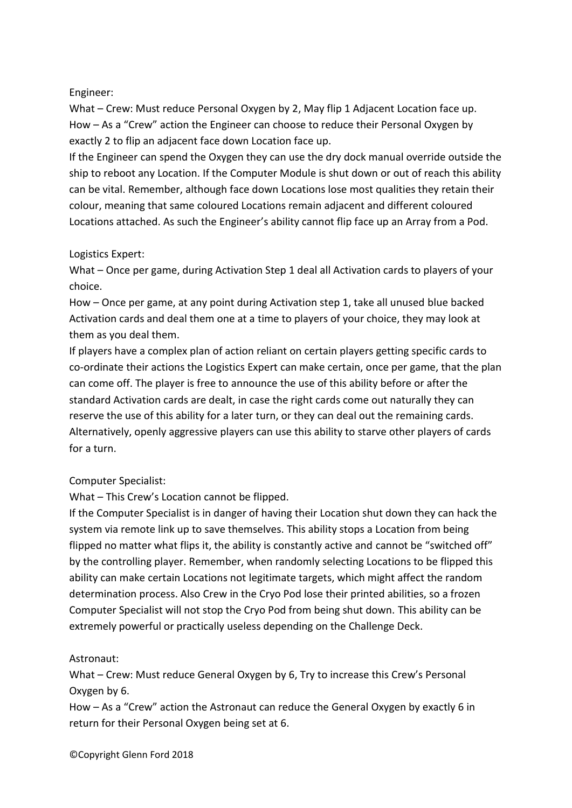# Engineer:

What – Crew: Must reduce Personal Oxygen by 2, May flip 1 Adjacent Location face up. How – As a "Crew" action the Engineer can choose to reduce their Personal Oxygen by exactly 2 to flip an adjacent face down Location face up.

If the Engineer can spend the Oxygen they can use the dry dock manual override outside the ship to reboot any Location. If the Computer Module is shut down or out of reach this ability can be vital. Remember, although face down Locations lose most qualities they retain their colour, meaning that same coloured Locations remain adjacent and different coloured Locations attached. As such the Engineer's ability cannot flip face up an Array from a Pod.

# Logistics Expert:

What – Once per game, during Activation Step 1 deal all Activation cards to players of your choice.

How – Once per game, at any point during Activation step 1, take all unused blue backed Activation cards and deal them one at a time to players of your choice, they may look at them as you deal them.

If players have a complex plan of action reliant on certain players getting specific cards to co-ordinate their actions the Logistics Expert can make certain, once per game, that the plan can come off. The player is free to announce the use of this ability before or after the standard Activation cards are dealt, in case the right cards come out naturally they can reserve the use of this ability for a later turn, or they can deal out the remaining cards. Alternatively, openly aggressive players can use this ability to starve other players of cards for a turn.

# Computer Specialist:

What – This Crew's Location cannot be flipped.

If the Computer Specialist is in danger of having their Location shut down they can hack the system via remote link up to save themselves. This ability stops a Location from being flipped no matter what flips it, the ability is constantly active and cannot be "switched off" by the controlling player. Remember, when randomly selecting Locations to be flipped this ability can make certain Locations not legitimate targets, which might affect the random determination process. Also Crew in the Cryo Pod lose their printed abilities, so a frozen Computer Specialist will not stop the Cryo Pod from being shut down. This ability can be extremely powerful or practically useless depending on the Challenge Deck.

# Astronaut:

What – Crew: Must reduce General Oxygen by 6, Try to increase this Crew's Personal Oxygen by 6.

How – As a "Crew" action the Astronaut can reduce the General Oxygen by exactly 6 in return for their Personal Oxygen being set at 6.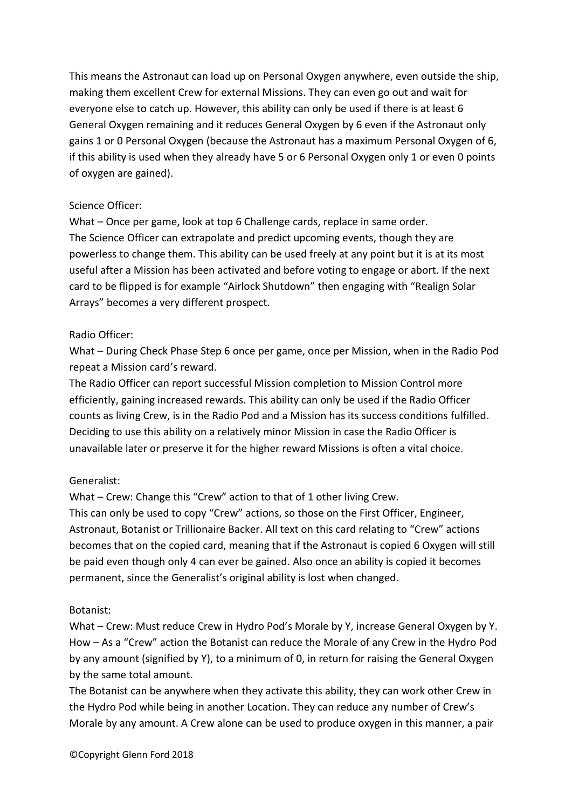This means the Astronaut can load up on Personal Oxygen anywhere, even outside the ship, making them excellent Crew for external Missions. They can even go out and wait for everyone else to catch up. However, this ability can only be used if there is at least 6 General Oxygen remaining and it reduces General Oxygen by 6 even if the Astronaut only gains 1 or 0 Personal Oxygen (because the Astronaut has a maximum Personal Oxygen of 6, if this ability is used when they already have 5 or 6 Personal Oxygen only 1 or even 0 points of oxygen are gained).

## Science Officer:

What – Once per game, look at top 6 Challenge cards, replace in same order. The Science Officer can extrapolate and predict upcoming events, though they are powerless to change them. This ability can be used freely at any point but it is at its most useful after a Mission has been activated and before voting to engage or abort. If the next card to be flipped is for example "Airlock Shutdown" then engaging with "Realign Solar Arrays" becomes a very different prospect.

#### Radio Officer:

What – During Check Phase Step 6 once per game, once per Mission, when in the Radio Pod repeat a Mission card's reward.

The Radio Officer can report successful Mission completion to Mission Control more efficiently, gaining increased rewards. This ability can only be used if the Radio Officer counts as living Crew, is in the Radio Pod and a Mission has its success conditions fulfilled. Deciding to use this ability on a relatively minor Mission in case the Radio Officer is unavailable later or preserve it for the higher reward Missions is often a vital choice.

## Generalist:

What – Crew: Change this "Crew" action to that of 1 other living Crew. This can only be used to copy "Crew" actions, so those on the First Officer, Engineer, Astronaut, Botanist or Trillionaire Backer. All text on this card relating to "Crew" actions becomes that on the copied card, meaning that if the Astronaut is copied 6 Oxygen will still be paid even though only 4 can ever be gained. Also once an ability is copied it becomes permanent, since the Generalist's original ability is lost when changed.

#### Botanist:

What – Crew: Must reduce Crew in Hydro Pod's Morale by Y, increase General Oxygen by Y. How – As a "Crew" action the Botanist can reduce the Morale of any Crew in the Hydro Pod by any amount (signified by Y), to a minimum of 0, in return for raising the General Oxygen by the same total amount.

The Botanist can be anywhere when they activate this ability, they can work other Crew in the Hydro Pod while being in another Location. They can reduce any number of Crew's Morale by any amount. A Crew alone can be used to produce oxygen in this manner, a pair